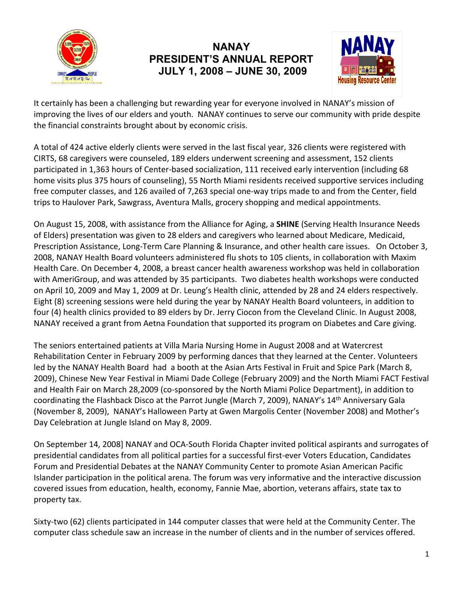

## **NANAY PRESIDENT'S ANNUAL REPORT JULY 1, 2008 – JUNE 30, 2009**



It certainly has been a challenging but rewarding year for everyone involved in NANAY's mission of improving the lives of our elders and youth. NANAY continues to serve our community with pride despite the financial constraints brought about by economic crisis.

A total of 424 active elderly clients were served in the last fiscal year, 326 clients were registered with CIRTS, 68 caregivers were counseled, 189 elders underwent screening and assessment, 152 clients participated in 1,363 hours of Center-based socialization, 111 received early intervention (including 68 home visits plus 375 hours of counseling), 55 North Miami residents received supportive services including free computer classes, and 126 availed of 7,263 special one-way trips made to and from the Center, field trips to Haulover Park, Sawgrass, Aventura Malls, grocery shopping and medical appointments.

On August 15, 2008, with assistance from the Alliance for Aging, a **SHINE** (Serving Health Insurance Needs of Elders) presentation was given to 28 elders and caregivers who learned about Medicare, Medicaid, Prescription Assistance, Long-Term Care Planning & Insurance, and other health care issues. On October 3, 2008, NANAY Health Board volunteers administered flu shots to 105 clients, in collaboration with Maxim Health Care. On December 4, 2008, a breast cancer health awareness workshop was held in collaboration with AmeriGroup, and was attended by 35 participants. Two diabetes health workshops were conducted on April 10, 2009 and May 1, 2009 at Dr. Leung's Health clinic, attended by 28 and 24 elders respectively. Eight (8) screening sessions were held during the year by NANAY Health Board volunteers, in addition to four (4) health clinics provided to 89 elders by Dr. Jerry Ciocon from the Cleveland Clinic. In August 2008, NANAY received a grant from Aetna Foundation that supported its program on Diabetes and Care giving.

The seniors entertained patients at Villa Maria Nursing Home in August 2008 and at Watercrest Rehabilitation Center in February 2009 by performing dances that they learned at the Center. Volunteers led by the NANAY Health Board had a booth at the Asian Arts Festival in Fruit and Spice Park (March 8, 2009), Chinese New Year Festival in Miami Dade College (February 2009) and the North Miami FACT Festival and Health Fair on March 28,2009 (co-sponsored by the North Miami Police Department), in addition to coordinating the Flashback Disco at the Parrot Jungle (March 7, 2009), NANAY's 14<sup>th</sup> Anniversary Gala (November 8, 2009), NANAY's Halloween Party at Gwen Margolis Center (November 2008) and Mother's Day Celebration at Jungle Island on May 8, 2009.

On September 14, 2008] NANAY and OCA-South Florida Chapter invited political aspirants and surrogates of presidential candidates from all political parties for a successful first-ever Voters Education, Candidates Forum and Presidential Debates at the NANAY Community Center to promote Asian American Pacific Islander participation in the political arena. The forum was very informative and the interactive discussion covered issues from education, health, economy, Fannie Mae, abortion, veterans affairs, state tax to property tax.

Sixty-two (62) clients participated in 144 computer classes that were held at the Community Center. The computer class schedule saw an increase in the number of clients and in the number of services offered.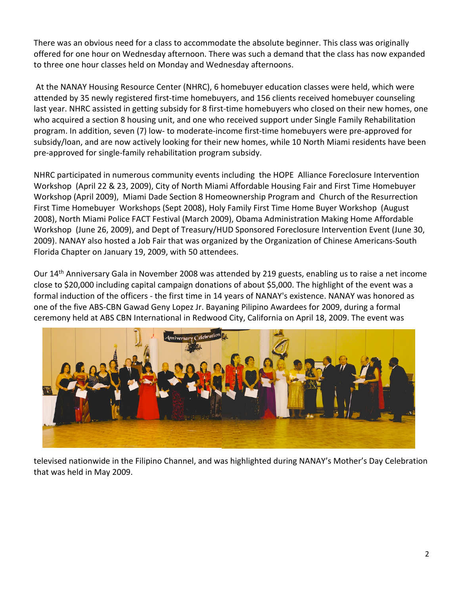There was an obvious need for a class to accommodate the absolute beginner. This class was originally offered for one hour on Wednesday afternoon. There was such a demand that the class has now expanded to three one hour classes held on Monday and Wednesday afternoons.

At the NANAY Housing Resource Center (NHRC), 6 homebuyer education classes were held, which were attended by 35 newly registered first-time homebuyers, and 156 clients received homebuyer counseling last year. NHRC assisted in getting subsidy for 8 first-time homebuyers who closed on their new homes, one who acquired a section 8 housing unit, and one who received support under Single Family Rehabilitation program. In addition, seven (7) low- to moderate-income first-time homebuyers were pre-approved for subsidy/loan, and are now actively looking for their new homes, while 10 North Miami residents have been pre-approved for single-family rehabilitation program subsidy.

NHRC participated in numerous community events including the HOPE Alliance Foreclosure Intervention Workshop (April 22 & 23, 2009), City of North Miami Affordable Housing Fair and First Time Homebuyer Workshop (April 2009), Miami Dade Section 8 Homeownership Program and Church of the Resurrection First Time Homebuyer Workshops (Sept 2008), Holy Family First Time Home Buyer Workshop (August 2008), North Miami Police FACT Festival (March 2009), Obama Administration Making Home Affordable Workshop (June 26, 2009), and Dept of Treasury/HUD Sponsored Foreclosure Intervention Event (June 30, 2009). NANAY also hosted a Job Fair that was organized by the Organization of Chinese Americans-South Florida Chapter on January 19, 2009, with 50 attendees.

Our 14<sup>th</sup> Anniversary Gala in November 2008 was attended by 219 guests, enabling us to raise a net income close to \$20,000 including capital campaign donations of about \$5,000. The highlight of the event was a formal induction of the officers - the first time in 14 years of NANAY's existence. NANAY was honored as one of the five ABS-CBN Gawad Geny Lopez Jr. Bayaning Pilipino Awardees for 2009, during a formal ceremony held at ABS CBN International in Redwood City, California on April 18, 2009. The event was



televised nationwide in the Filipino Channel, and was highlighted during NANAY's Mother's Day Celebration that was held in May 2009.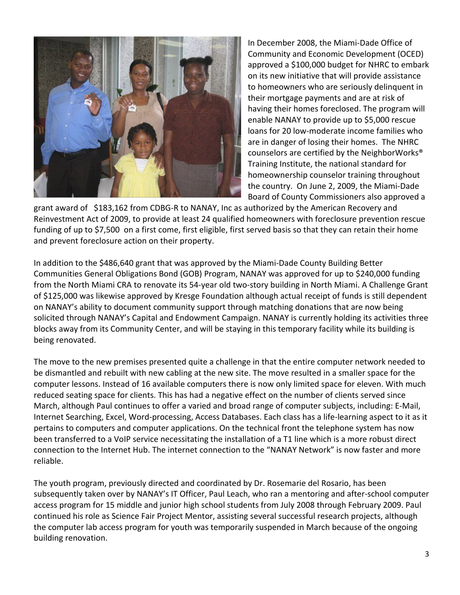

In December 2008, the Miami-Dade Office of Community and Economic Development (OCED) approved a \$100,000 budget for NHRC to embark on its new initiative that will provide assistance to homeowners who are seriously delinquent in their mortgage payments and are at risk of having their homes foreclosed. The program will enable NANAY to provide up to \$5,000 rescue loans for 20 low-moderate income families who are in danger of losing their homes. The NHRC counselors are certified by the NeighborWorks® Training Institute, the national standard for homeownership counselor training throughout the country. On June 2, 2009, the Miami-Dade Board of County Commissioners also approved a

grant award of \$183,162 from CDBG-R to NANAY, Inc as authorized by the American Recovery and Reinvestment Act of 2009, to provide at least 24 qualified homeowners with foreclosure prevention rescue funding of up to \$7,500 on a first come, first eligible, first served basis so that they can retain their home and prevent foreclosure action on their property.

In addition to the \$486,640 grant that was approved by the Miami-Dade County Building Better Communities General Obligations Bond (GOB) Program, NANAY was approved for up to \$240,000 funding from the North Miami CRA to renovate its 54-year old two-story building in North Miami. A Challenge Grant of \$125,000 was likewise approved by Kresge Foundation although actual receipt of funds is still dependent on NANAY's ability to document community support through matching donations that are now being solicited through NANAY's Capital and Endowment Campaign. NANAY is currently holding its activities three blocks away from its Community Center, and will be staying in this temporary facility while its building is being renovated.

The move to the new premises presented quite a challenge in that the entire computer network needed to be dismantled and rebuilt with new cabling at the new site. The move resulted in a smaller space for the computer lessons. Instead of 16 available computers there is now only limited space for eleven. With much reduced seating space for clients. This has had a negative effect on the number of clients served since March, although Paul continues to offer a varied and broad range of computer subjects, including: E-Mail, Internet Searching, Excel, Word-processing, Access Databases. Each class has a life-learning aspect to it as it pertains to computers and computer applications. On the technical front the telephone system has now been transferred to a VoIP service necessitating the installation of a T1 line which is a more robust direct connection to the Internet Hub. The internet connection to the "NANAY Network" is now faster and more reliable.

The youth program, previously directed and coordinated by Dr. Rosemarie del Rosario, has been subsequently taken over by NANAY's IT Officer, Paul Leach, who ran a mentoring and after-school computer access program for 15 middle and junior high school students from July 2008 through February 2009. Paul continued his role as Science Fair Project Mentor, assisting several successful research projects, although the computer lab access program for youth was temporarily suspended in March because of the ongoing building renovation.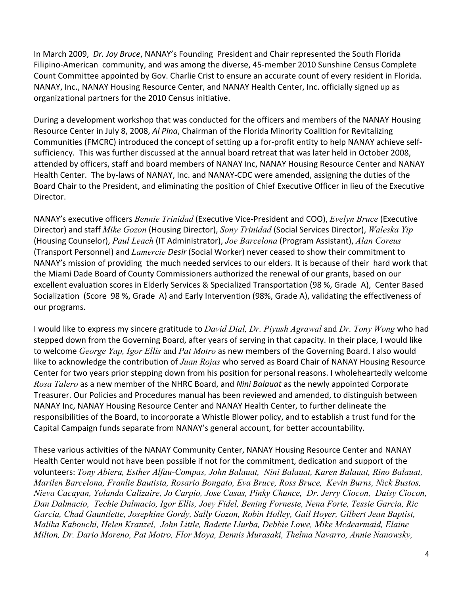In March 2009, *Dr. Joy Bruce*, NANAY's Founding President and Chair represented the South Florida Filipino-American community, and was among the diverse, 45-member 2010 Sunshine Census Complete Count Committee appointed by Gov. Charlie Crist to ensure an accurate count of every resident in Florida. NANAY, Inc., NANAY Housing Resource Center, and NANAY Health Center, Inc. officially signed up as organizational partners for the 2010 Census initiative.

During a development workshop that was conducted for the officers and members of the NANAY Housing Resource Center in July 8, 2008, *Al Pina*, Chairman of the Florida Minority Coalition for Revitalizing Communities (FMCRC) introduced the concept of setting up a for-profit entity to help NANAY achieve selfsufficiency. This was further discussed at the annual board retreat that was later held in October 2008, attended by officers, staff and board members of NANAY Inc, NANAY Housing Resource Center and NANAY Health Center. The by-laws of NANAY, Inc. and NANAY-CDC were amended, assigning the duties of the Board Chair to the President, and eliminating the position of Chief Executive Officer in lieu of the Executive Director.

NANAY's executive officers *Bennie Trinidad* (Executive Vice-President and COO), *Evelyn Bruce* (Executive Director) and staff *Mike Gozon* (Housing Director), *Sony Trinidad* (Social Services Director), *Waleska Yip* (Housing Counselor), *Paul Leach* (IT Administrator), *Joe Barcelona* (Program Assistant), *Alan Coreus* (Transport Personnel) and *Lamercie Desir* (Social Worker) never ceased to show their commitment to NANAY's mission of providing the much needed services to our elders. It is because of their hard work that the Miami Dade Board of County Commissioners authorized the renewal of our grants, based on our excellent evaluation scores in Elderly Services & Specialized Transportation (98 %, Grade A), Center Based Socialization (Score 98 %, Grade A) and Early Intervention (98%, Grade A), validating the effectiveness of our programs.

I would like to express my sincere gratitude to *David Dial, Dr. Piyush Agrawal* and *Dr. Tony Wong* who had stepped down from the Governing Board, after years of serving in that capacity. In their place, I would like to welcome *George Yap, Igor Ellis* and *Pat Motro* as new members of the Governing Board. I also would like to acknowledge the contribution of *Juan Rojas* who served as Board Chair of NANAY Housing Resource Center for two years prior stepping down from his position for personal reasons. I wholeheartedly welcome *Rosa Talero* as a new member of the NHRC Board, and *Nini Balauat* as the newly appointed Corporate Treasurer. Our Policies and Procedures manual has been reviewed and amended, to distinguish between NANAY Inc, NANAY Housing Resource Center and NANAY Health Center, to further delineate the responsibilities of the Board, to incorporate a Whistle Blower policy, and to establish a trust fund for the Capital Campaign funds separate from NANAY's general account, for better accountability.

These various activities of the NANAY Community Center, NANAY Housing Resource Center and NANAY Health Center would not have been possible if not for the commitment, dedication and support of the volunteers: *Tony Abiera, Esther Alfau-Compas, John Balauat, Nini Balauat, Karen Balauat, Rino Balauat, Marilen Barcelona, Franlie Bautista, Rosario Bongato, Eva Bruce, Ross Bruce, Kevin Burns, Nick Bustos, Nieva Cacayan, Yolanda Calizaire, Jo Carpio, Jose Casas, Pinky Chance, Dr. Jerry Ciocon, Daisy Ciocon, Dan Dalmacio, Techie Dalmacio, Igor Ellis, Joey Fidel, Bening Forneste, Nena Forte, Tessie Garcia, Ric Garcia, Chad Gauntlette, Josephine Gordy, Sally Gozon, Robin Holley, Gail Hoyer, Gilbert Jean Baptist, Malika Kabouchi, Helen Kranzel, John Little, Badette Llurba, Debbie Lowe, Mike Mcdearmaid, Elaine Milton, Dr. Dario Moreno, Pat Motro, Flor Moya, Dennis Murasaki, Thelma Navarro, Annie Nanowsky,*